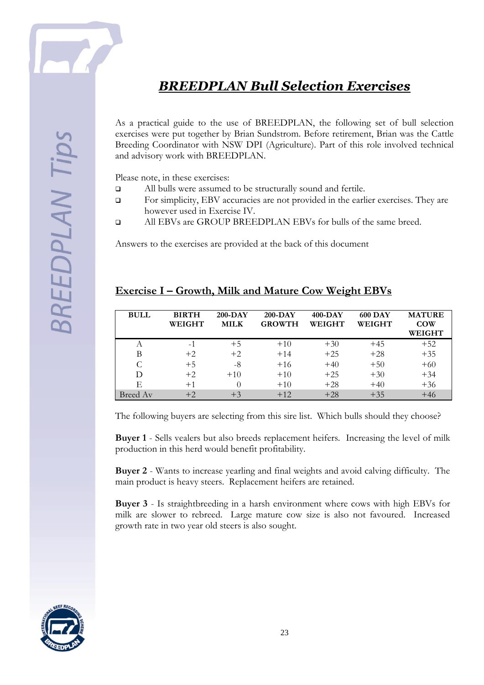

**SREEDPLAN Tip** 

## *BREEDPLAN Bull Selection Exercises*

As a practical guide to the use of BREEDPLAN, the following set of bull selection exercises were put together by Brian Sundstrom. Before retirement, Brian was the Cattle Breeding Coordinator with NSW DPI (Agriculture). Part of this role involved technical and advisory work with BREEDPLAN.

Please note, in these exercises:

- All bulls were assumed to be structurally sound and fertile.
- For simplicity, EBV accuracies are not provided in the earlier exercises. They are however used in Exercise IV.
- All EBVs are GROUP BREEDPLAN EBVs for bulls of the same breed.

Answers to the exercises are provided at the back of this document

| <b>BULL</b> | <b>BIRTH</b><br>WEIGHT | $200-DAY$<br><b>MILK</b> | $200-DAY$<br><b>GROWTH</b> | $400 - DAY$<br><b>WEIGHT</b> | <b>600 DAY</b><br><b>WEIGHT</b> | <b>MATURE</b><br><b>COW</b><br><b>WEIGHT</b> |
|-------------|------------------------|--------------------------|----------------------------|------------------------------|---------------------------------|----------------------------------------------|
| A           | $-1$                   | $+5$                     | $+10$                      | $+30$                        | $+45$                           | $+52$                                        |
| B           | $+2$                   | $+2$                     | $+14$                      | $+25$                        | $+28$                           | $+35$                                        |
|             | $+5$                   | -8                       | $+16$                      | $+40$                        | $+50$                           | $+60$                                        |
| D           | $+2$                   | $+10$                    | $+10$                      | $+25$                        | $+30$                           | $+34$                                        |
| E           | $+1$                   |                          | $+10$                      | $+28$                        | $+40$                           | $+36$                                        |
| Breed Av    | $+2$                   | $+3$                     | $+12$                      | $+28$                        | $+35$                           | $+46$                                        |

## **Exercise I – Growth, Milk and Mature Cow Weight EBVs**

The following buyers are selecting from this sire list. Which bulls should they choose?

**Buyer 1** - Sells vealers but also breeds replacement heifers. Increasing the level of milk production in this herd would benefit profitability.

**Buyer 2** - Wants to increase yearling and final weights and avoid calving difficulty. The main product is heavy steers. Replacement heifers are retained.

**Buyer 3** - Is straightbreeding in a harsh environment where cows with high EBVs for milk are slower to rebreed. Large mature cow size is also not favoured. Increased growth rate in two year old steers is also sought.

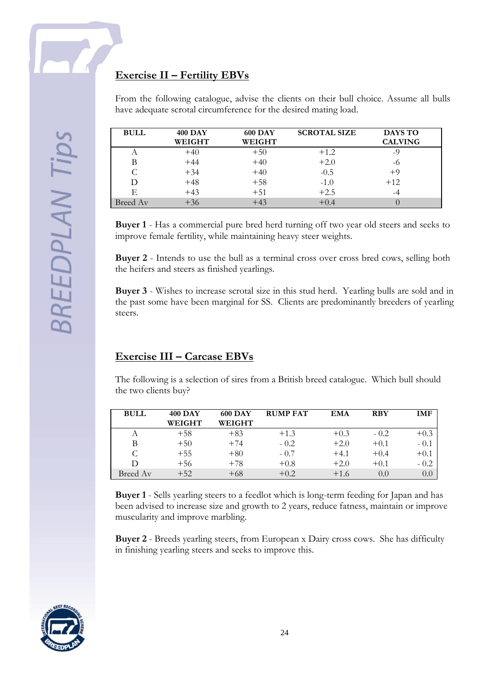From the following catalogue, advise the clients on their bull choice. Assume all bulls have adequate scrotal circumference for the desired mating load.

| <b>BULL</b> | <b>400 DAY</b><br>WEIGHT | <b>600 DAY</b><br>WEIGHT | <b>SCROTAL SIZE</b> | <b>DAYS TO</b><br><b>CALVING</b> |  |
|-------------|--------------------------|--------------------------|---------------------|----------------------------------|--|
| A           | $+40$                    | $+50$                    | $+1.2$              | $-9$                             |  |
| B           | $+44$                    | $+40$                    | $+2.0$              | -6                               |  |
|             | $+34$                    | $+40$                    | $-0.5$              | $+9$                             |  |
| D           | $+48$                    | $+58$                    | $-1.0$              | $+12$                            |  |
| E           | $+43$                    | $+51$                    | $+2.5$              | $-4$                             |  |
| Breed Av    | $+36$                    | $+43$                    | $+0.4$              |                                  |  |

**Buyer 1** - Has a commercial pure bred herd turning off two year old steers and seeks to improve female fertility, while maintaining heavy steer weights.

**Buyer 2** - Intends to use the bull as a terminal cross over cross bred cows, selling both the heifers and steers as finished yearlings.

**Buyer 3** - Wishes to increase scrotal size in this stud herd. Yearling bulls are sold and in the past some have been marginal for SS. Clients are predominantly breeders of yearling steers.

## **Exercise III – Carcase EBVs**

The following is a selection of sires from a British breed catalogue. Which bull should the two clients buy?

| <b>BULL</b> | <b>400 DAY</b><br>WEIGHT | <b>600 DAY</b><br>WEIGHT | <b>RUMP FAT</b> | <b>EMA</b> | <b>RBY</b> | IMF    |
|-------------|--------------------------|--------------------------|-----------------|------------|------------|--------|
| A           | $+58$                    | $+83$                    | $+1.3$          | $+0.3$     | $-0.2$     | $+0.3$ |
| В           | $+50$                    | $+74$                    | $-0.2$          | $+2.0$     | $+0.1$     | $-0.1$ |
| C           | $+55$                    | $+80$                    | $-0.7$          | $+4.1$     | $+0.4$     | $+0.1$ |
| D           | $+56$                    | $+78$                    | $+0.8$          | $+2.0$     | $+0.1$     | $-0.2$ |
| Breed Av    | $+52$                    | $+68$                    | $+0.2$          | $+1.6$     | 0.0        | 0.0    |

**Buyer 1** - Sells yearling steers to a feedlot which is long-term feeding for Japan and has been advised to increase size and growth to 2 years, reduce fatness, maintain or improve muscularity and improve marbling.

**Buyer 2** - Breeds yearling steers, from European x Dairy cross cows. She has difficulty in finishing yearling steers and seeks to improve this.